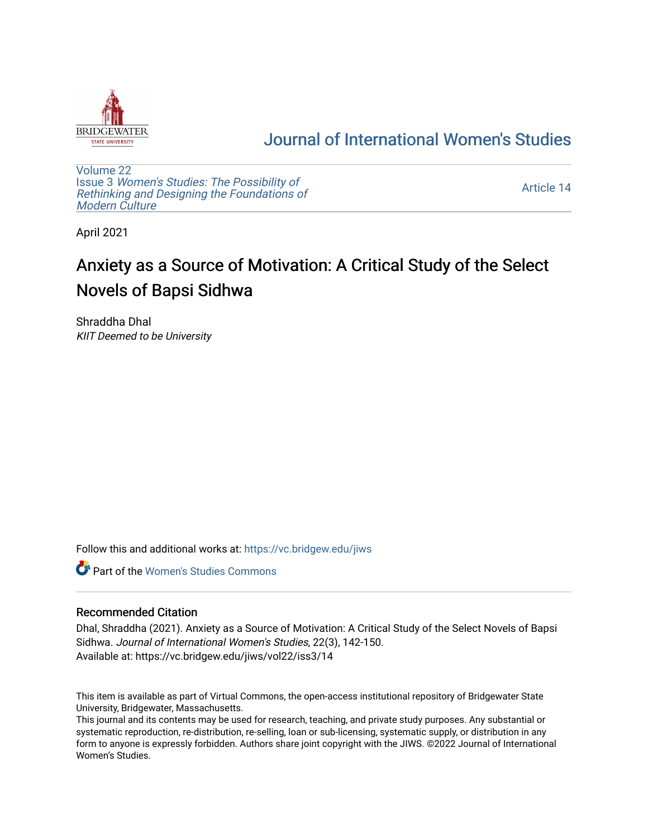

## [Journal of International Women's Studies](https://vc.bridgew.edu/jiws)

[Volume 22](https://vc.bridgew.edu/jiws/vol22) Issue 3 [Women's Studies: The Possibility of](https://vc.bridgew.edu/jiws/vol22/iss3)  [Rethinking and Designing the Foundations of](https://vc.bridgew.edu/jiws/vol22/iss3) [Modern Culture](https://vc.bridgew.edu/jiws/vol22/iss3)

[Article 14](https://vc.bridgew.edu/jiws/vol22/iss3/14) 

April 2021

# Anxiety as a Source of Motivation: A Critical Study of the Select Novels of Bapsi Sidhwa

Shraddha Dhal KIIT Deemed to be University

Follow this and additional works at: [https://vc.bridgew.edu/jiws](https://vc.bridgew.edu/jiws?utm_source=vc.bridgew.edu%2Fjiws%2Fvol22%2Fiss3%2F14&utm_medium=PDF&utm_campaign=PDFCoverPages)

**C** Part of the Women's Studies Commons

#### Recommended Citation

Dhal, Shraddha (2021). Anxiety as a Source of Motivation: A Critical Study of the Select Novels of Bapsi Sidhwa. Journal of International Women's Studies, 22(3), 142-150. Available at: https://vc.bridgew.edu/jiws/vol22/iss3/14

This item is available as part of Virtual Commons, the open-access institutional repository of Bridgewater State University, Bridgewater, Massachusetts.

This journal and its contents may be used for research, teaching, and private study purposes. Any substantial or systematic reproduction, re-distribution, re-selling, loan or sub-licensing, systematic supply, or distribution in any form to anyone is expressly forbidden. Authors share joint copyright with the JIWS. ©2022 Journal of International Women's Studies.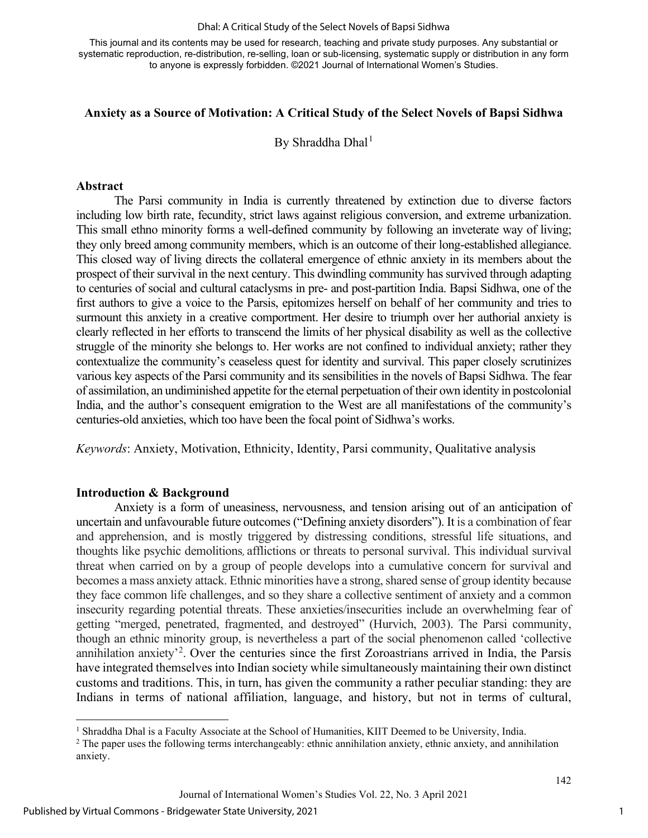#### Dhal: A Critical Study of the Select Novels of Bapsi Sidhwa

This journal and its contents may be used for research, teaching and private study purposes. Any substantial or systematic reproduction, re-distribution, re-selling, loan or sub-licensing, systematic supply or distribution in any form to anyone is expressly forbidden. ©2021 Journal of International Women's Studies.

#### **Anxiety as a Source of Motivation: A Critical Study of the Select Novels of Bapsi Sidhwa**

By Shraddha Dhal $<sup>1</sup>$  $<sup>1</sup>$  $<sup>1</sup>$ </sup>

#### **Abstract**

The Parsi community in India is currently threatened by extinction due to diverse factors including low birth rate, fecundity, strict laws against religious conversion, and extreme urbanization. This small ethno minority forms a well-defined community by following an inveterate way of living; they only breed among community members, which is an outcome of their long-established allegiance. This closed way of living directs the collateral emergence of ethnic anxiety in its members about the prospect of their survival in the next century. This dwindling community has survived through adapting to centuries of social and cultural cataclysms in pre- and post-partition India. Bapsi Sidhwa, one of the first authors to give a voice to the Parsis, epitomizes herself on behalf of her community and tries to surmount this anxiety in a creative comportment. Her desire to triumph over her authorial anxiety is clearly reflected in her efforts to transcend the limits of her physical disability as well as the collective struggle of the minority she belongs to. Her works are not confined to individual anxiety; rather they contextualize the community's ceaseless quest for identity and survival. This paper closely scrutinizes various key aspects of the Parsi community and its sensibilities in the novels of Bapsi Sidhwa. The fear of assimilation, an undiminished appetite for the eternal perpetuation of their own identity in postcolonial India, and the author's consequent emigration to the West are all manifestations of the community's centuries-old anxieties, which too have been the focal point of Sidhwa's works.

*Keywords*: Anxiety, Motivation, Ethnicity, Identity, Parsi community, Qualitative analysis

#### **Introduction & Background**

Anxiety is a form of uneasiness, nervousness, and tension arising out of an anticipation of uncertain and unfavourable future outcomes ("Defining anxiety disorders"). It is a combination of fear and apprehension, and is mostly triggered by distressing conditions, stressful life situations, and thoughts like psychic demolitions, afflictions or threats to personal survival. This individual survival threat when carried on by a group of people develops into a cumulative concern for survival and becomes a mass anxiety attack. Ethnic minorities have a strong, shared sense of group identity because they face common life challenges, and so they share a collective sentiment of anxiety and a common insecurity regarding potential threats. These anxieties/insecurities include an overwhelming fear of getting "merged, penetrated, fragmented, and destroyed" (Hurvich, 2003). The Parsi community, though an ethnic minority group, is nevertheless a part of the social phenomenon called 'collective annihilation anxiety<sup>[2](#page-1-1)</sup>. Over the centuries since the first Zoroastrians arrived in India, the Parsis have integrated themselves into Indian society while simultaneously maintaining their own distinct customs and traditions. This, in turn, has given the community a rather peculiar standing: they are Indians in terms of national affiliation, language, and history, but not in terms of cultural,

<sup>&</sup>lt;sup>1</sup> Shraddha Dhal is a Faculty Associate at the School of Humanities, KIIT Deemed to be University, India.

<span id="page-1-1"></span><span id="page-1-0"></span><sup>&</sup>lt;sup>2</sup> The paper uses the following terms interchangeably: ethnic annihilation anxiety, ethnic anxiety, and annihilation anxiety.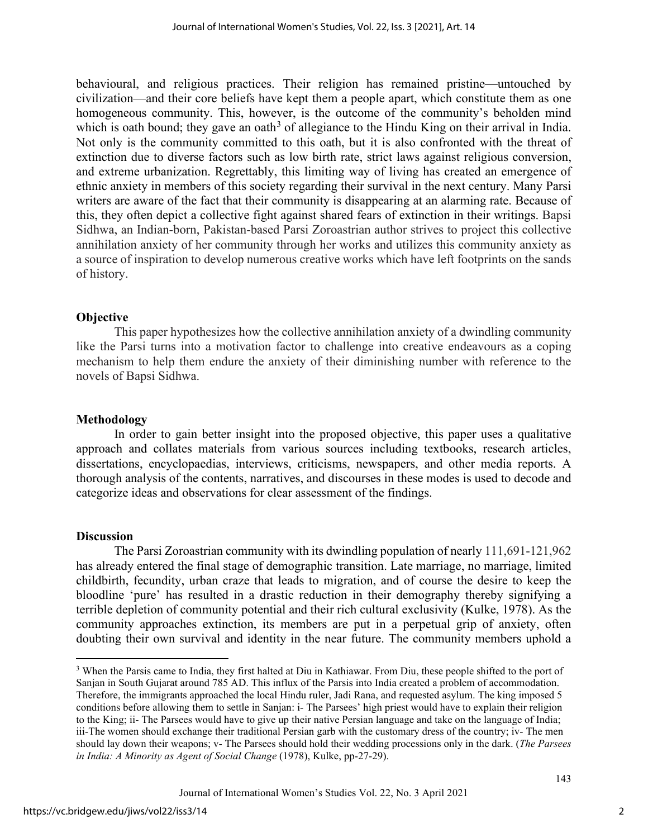behavioural, and religious practices. Their religion has remained pristine—untouched by civilization—and their core beliefs have kept them a people apart, which constitute them as one homogeneous community. This, however, is the outcome of the community's beholden mind which is oath bound; they gave an oath<sup>[3](#page-2-0)</sup> of allegiance to the Hindu King on their arrival in India. Not only is the community committed to this oath, but it is also confronted with the threat of extinction due to diverse factors such as low birth rate, strict laws against religious conversion, and extreme urbanization. Regrettably, this limiting way of living has created an emergence of ethnic anxiety in members of this society regarding their survival in the next century. Many Parsi writers are aware of the fact that their community is disappearing at an alarming rate. Because of this, they often depict a collective fight against shared fears of extinction in their writings. Bapsi Sidhwa, an Indian-born, Pakistan-based Parsi Zoroastrian author strives to project this collective annihilation anxiety of her community through her works and utilizes this community anxiety as a source of inspiration to develop numerous creative works which have left footprints on the sands of history.

### **Objective**

This paper hypothesizes how the collective annihilation anxiety of a dwindling community like the Parsi turns into a motivation factor to challenge into creative endeavours as a coping mechanism to help them endure the anxiety of their diminishing number with reference to the novels of Bapsi Sidhwa.

## **Methodology**

In order to gain better insight into the proposed objective, this paper uses a qualitative approach and collates materials from various sources including textbooks, research articles, dissertations, encyclopaedias, interviews, criticisms, newspapers, and other media reports. A thorough analysis of the contents, narratives, and discourses in these modes is used to decode and categorize ideas and observations for clear assessment of the findings.

#### **Discussion**

The Parsi Zoroastrian community with its dwindling population of nearly 111,691-121,962 has already entered the final stage of demographic transition. Late marriage, no marriage, limited childbirth, fecundity, urban craze that leads to migration, and of course the desire to keep the bloodline 'pure' has resulted in a drastic reduction in their demography thereby signifying a terrible depletion of community potential and their rich cultural exclusivity (Kulke, 1978). As the community approaches extinction, its members are put in a perpetual grip of anxiety, often doubting their own survival and identity in the near future. The community members uphold a

<span id="page-2-0"></span><sup>&</sup>lt;sup>3</sup> When the Parsis came to India, they first halted at Diu in Kathiawar. From Diu, these people shifted to the port of Sanjan in South Gujarat around 785 AD. This influx of the Parsis into India created a problem of accommodation. Therefore, the immigrants approached the local Hindu ruler, Jadi Rana, and requested asylum. The king imposed 5 conditions before allowing them to settle in Sanjan: i- The Parsees' high priest would have to explain their religion to the King; ii- The Parsees would have to give up their native Persian language and take on the language of India; iii-The women should exchange their traditional Persian garb with the customary dress of the country; iv- The men should lay down their weapons; v- The Parsees should hold their wedding processions only in the dark. (*The Parsees in India: A Minority as Agent of Social Change* (1978), Kulke, pp-27-29).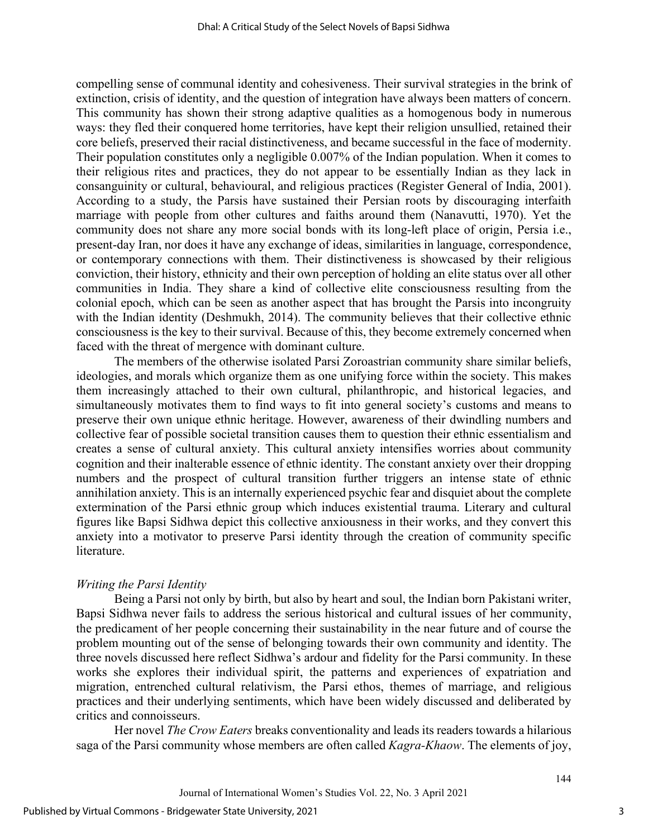compelling sense of communal identity and cohesiveness. Their survival strategies in the brink of extinction, crisis of identity, and the question of integration have always been matters of concern. This community has shown their strong adaptive qualities as a homogenous body in numerous ways: they fled their conquered home territories, have kept their religion unsullied, retained their core beliefs, preserved their racial distinctiveness, and became successful in the face of modernity. Their population constitutes only a negligible 0.007% of the Indian population. When it comes to their religious rites and practices, they do not appear to be essentially Indian as they lack in consanguinity or cultural, behavioural, and religious practices (Register General of India, 2001). According to a study, the Parsis have sustained their Persian roots by discouraging interfaith marriage with people from other cultures and faiths around them (Nanavutti, 1970). Yet the community does not share any more social bonds with its long-left place of origin, Persia i.e., present-day Iran, nor does it have any exchange of ideas, similarities in language, correspondence, or contemporary connections with them. Their distinctiveness is showcased by their religious conviction, their history, ethnicity and their own perception of holding an elite status over all other communities in India. They share a kind of collective elite consciousness resulting from the colonial epoch, which can be seen as another aspect that has brought the Parsis into incongruity with the Indian identity (Deshmukh, 2014). The community believes that their collective ethnic consciousness is the key to their survival. Because of this, they become extremely concerned when faced with the threat of mergence with dominant culture.

The members of the otherwise isolated Parsi Zoroastrian community share similar beliefs, ideologies, and morals which organize them as one unifying force within the society. This makes them increasingly attached to their own cultural, philanthropic, and historical legacies, and simultaneously motivates them to find ways to fit into general society's customs and means to preserve their own unique ethnic heritage. However, awareness of their dwindling numbers and collective fear of possible societal transition causes them to question their ethnic essentialism and creates a sense of cultural anxiety. This cultural anxiety intensifies worries about community cognition and their inalterable essence of ethnic identity. The constant anxiety over their dropping numbers and the prospect of cultural transition further triggers an intense state of ethnic annihilation anxiety. This is an internally experienced psychic fear and disquiet about the complete extermination of the Parsi ethnic group which induces existential trauma. Literary and cultural figures like Bapsi Sidhwa depict this collective anxiousness in their works, and they convert this anxiety into a motivator to preserve Parsi identity through the creation of community specific literature.

#### *Writing the Parsi Identity*

Being a Parsi not only by birth, but also by heart and soul, the Indian born Pakistani writer, Bapsi Sidhwa never fails to address the serious historical and cultural issues of her community, the predicament of her people concerning their sustainability in the near future and of course the problem mounting out of the sense of belonging towards their own community and identity. The three novels discussed here reflect Sidhwa's ardour and fidelity for the Parsi community. In these works she explores their individual spirit, the patterns and experiences of expatriation and migration, entrenched cultural relativism, the Parsi ethos, themes of marriage, and religious practices and their underlying sentiments, which have been widely discussed and deliberated by critics and connoisseurs.

Her novel *The Crow Eaters* breaks conventionality and leads its readers towards a hilarious saga of the Parsi community whose members are often called *Kagra-Khaow*. The elements of joy,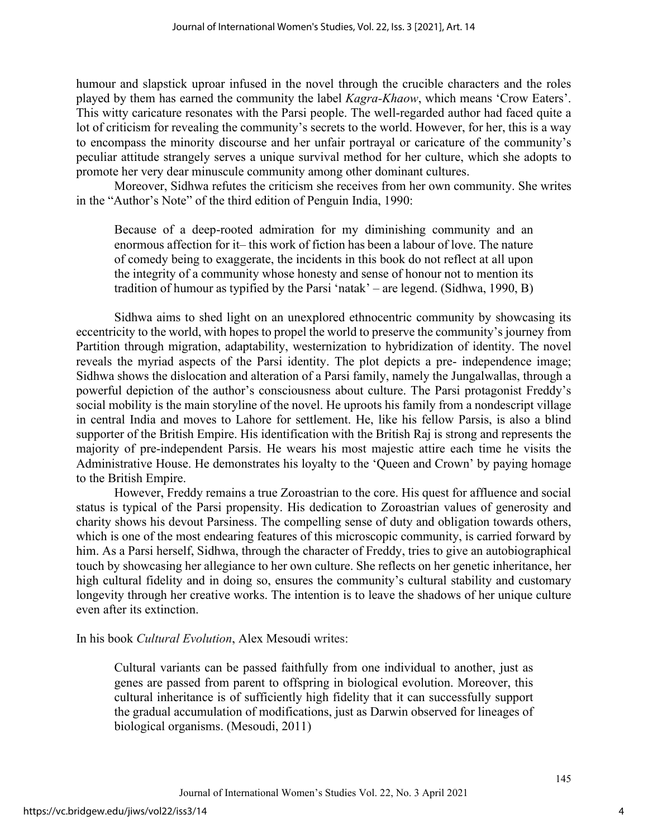humour and slapstick uproar infused in the novel through the crucible characters and the roles played by them has earned the community the label *Kagra-Khaow*, which means 'Crow Eaters'. This witty caricature resonates with the Parsi people. The well-regarded author had faced quite a lot of criticism for revealing the community's secrets to the world. However, for her, this is a way to encompass the minority discourse and her unfair portrayal or caricature of the community's peculiar attitude strangely serves a unique survival method for her culture, which she adopts to promote her very dear minuscule community among other dominant cultures.

Moreover, Sidhwa refutes the criticism she receives from her own community. She writes in the "Author's Note" of the third edition of Penguin India, 1990:

Because of a deep-rooted admiration for my diminishing community and an enormous affection for it– this work of fiction has been a labour of love. The nature of comedy being to exaggerate, the incidents in this book do not reflect at all upon the integrity of a community whose honesty and sense of honour not to mention its tradition of humour as typified by the Parsi 'natak' – are legend. (Sidhwa, 1990, B)

Sidhwa aims to shed light on an unexplored ethnocentric community by showcasing its eccentricity to the world, with hopes to propel the world to preserve the community's journey from Partition through migration, adaptability, westernization to hybridization of identity. The novel reveals the myriad aspects of the Parsi identity. The plot depicts a pre- independence image; Sidhwa shows the dislocation and alteration of a Parsi family, namely the Jungalwallas, through a powerful depiction of the author's consciousness about culture. The Parsi protagonist Freddy's social mobility is the main storyline of the novel. He uproots his family from a nondescript village in central India and moves to Lahore for settlement. He, like his fellow Parsis, is also a blind supporter of the British Empire. His identification with the British Raj is strong and represents the majority of pre-independent Parsis. He wears his most majestic attire each time he visits the Administrative House. He demonstrates his loyalty to the 'Queen and Crown' by paying homage to the British Empire.

However, Freddy remains a true Zoroastrian to the core. His quest for affluence and social status is typical of the Parsi propensity. His dedication to Zoroastrian values of generosity and charity shows his devout Parsiness. The compelling sense of duty and obligation towards others, which is one of the most endearing features of this microscopic community, is carried forward by him. As a Parsi herself, Sidhwa, through the character of Freddy, tries to give an autobiographical touch by showcasing her allegiance to her own culture. She reflects on her genetic inheritance, her high cultural fidelity and in doing so, ensures the community's cultural stability and customary longevity through her creative works. The intention is to leave the shadows of her unique culture even after its extinction.

In his book *Cultural Evolution*, Alex Mesoudi writes:

Cultural variants can be passed faithfully from one individual to another, just as genes are passed from parent to offspring in biological evolution. Moreover, this cultural inheritance is of sufficiently high fidelity that it can successfully support the gradual accumulation of modifications, just as Darwin observed for lineages of biological organisms. (Mesoudi, 2011)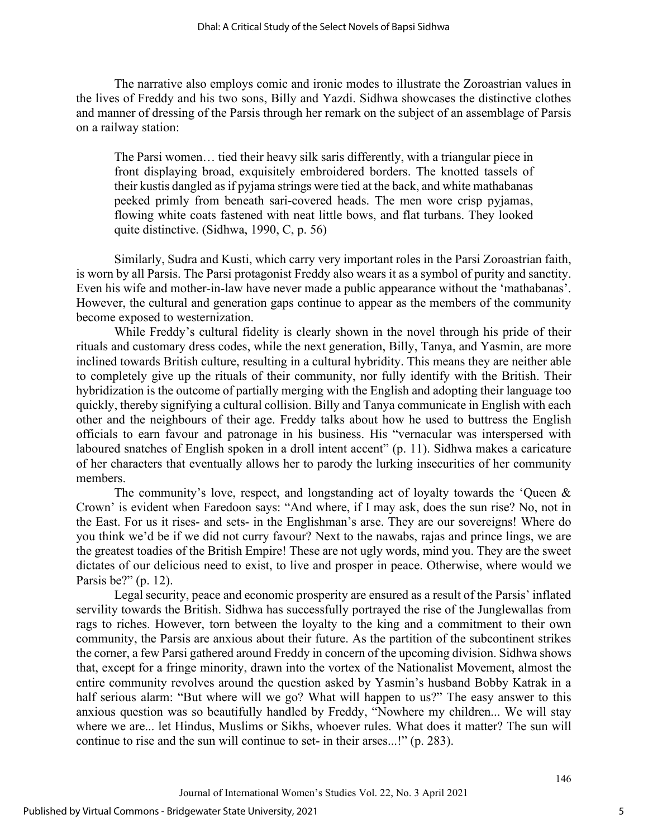The narrative also employs comic and ironic modes to illustrate the Zoroastrian values in the lives of Freddy and his two sons, Billy and Yazdi. Sidhwa showcases the distinctive clothes and manner of dressing of the Parsis through her remark on the subject of an assemblage of Parsis on a railway station:

The Parsi women… tied their heavy silk saris differently, with a triangular piece in front displaying broad, exquisitely embroidered borders. The knotted tassels of their kustis dangled as if pyjama strings were tied at the back, and white mathabanas peeked primly from beneath sari-covered heads. The men wore crisp pyjamas, flowing white coats fastened with neat little bows, and flat turbans. They looked quite distinctive. (Sidhwa, 1990, C, p. 56)

Similarly, Sudra and Kusti, which carry very important roles in the Parsi Zoroastrian faith, is worn by all Parsis. The Parsi protagonist Freddy also wears it as a symbol of purity and sanctity. Even his wife and mother-in-law have never made a public appearance without the 'mathabanas'. However, the cultural and generation gaps continue to appear as the members of the community become exposed to westernization.

While Freddy's cultural fidelity is clearly shown in the novel through his pride of their rituals and customary dress codes, while the next generation, Billy, Tanya, and Yasmin, are more inclined towards British culture, resulting in a cultural hybridity. This means they are neither able to completely give up the rituals of their community, nor fully identify with the British. Their hybridization is the outcome of partially merging with the English and adopting their language too quickly, thereby signifying a cultural collision. Billy and Tanya communicate in English with each other and the neighbours of their age. Freddy talks about how he used to buttress the English officials to earn favour and patronage in his business. His "vernacular was interspersed with laboured snatches of English spoken in a droll intent accent" (p. 11). Sidhwa makes a caricature of her characters that eventually allows her to parody the lurking insecurities of her community members.

The community's love, respect, and longstanding act of loyalty towards the 'Queen & Crown' is evident when Faredoon says: "And where, if I may ask, does the sun rise? No, not in the East. For us it rises- and sets- in the Englishman's arse. They are our sovereigns! Where do you think we'd be if we did not curry favour? Next to the nawabs, rajas and prince lings, we are the greatest toadies of the British Empire! These are not ugly words, mind you. They are the sweet dictates of our delicious need to exist, to live and prosper in peace. Otherwise, where would we Parsis be?" (p. 12).

Legal security, peace and economic prosperity are ensured as a result of the Parsis' inflated servility towards the British. Sidhwa has successfully portrayed the rise of the Junglewallas from rags to riches. However, torn between the loyalty to the king and a commitment to their own community, the Parsis are anxious about their future. As the partition of the subcontinent strikes the corner, a few Parsi gathered around Freddy in concern of the upcoming division. Sidhwa shows that, except for a fringe minority, drawn into the vortex of the Nationalist Movement, almost the entire community revolves around the question asked by Yasmin's husband Bobby Katrak in a half serious alarm: "But where will we go? What will happen to us?" The easy answer to this anxious question was so beautifully handled by Freddy, "Nowhere my children... We will stay where we are... let Hindus, Muslims or Sikhs, whoever rules. What does it matter? The sun will continue to rise and the sun will continue to set- in their arses...!" (p. 283).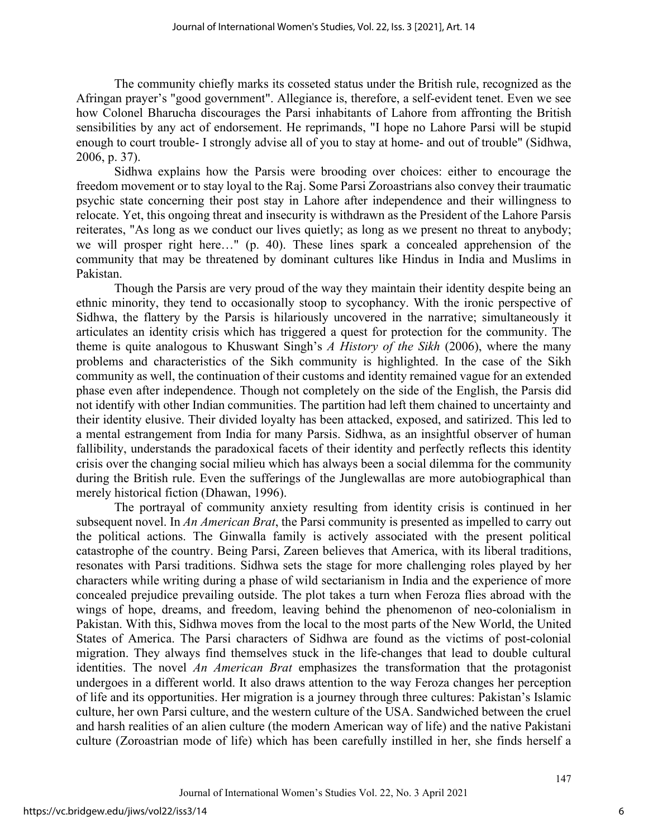The community chiefly marks its cosseted status under the British rule, recognized as the Afringan prayer's "good government". Allegiance is, therefore, a self-evident tenet. Even we see how Colonel Bharucha discourages the Parsi inhabitants of Lahore from affronting the British sensibilities by any act of endorsement. He reprimands, "I hope no Lahore Parsi will be stupid enough to court trouble- I strongly advise all of you to stay at home- and out of trouble" (Sidhwa, 2006, p. 37).

Sidhwa explains how the Parsis were brooding over choices: either to encourage the freedom movement or to stay loyal to the Raj. Some Parsi Zoroastrians also convey their traumatic psychic state concerning their post stay in Lahore after independence and their willingness to relocate. Yet, this ongoing threat and insecurity is withdrawn as the President of the Lahore Parsis reiterates, "As long as we conduct our lives quietly; as long as we present no threat to anybody; we will prosper right here…" (p. 40). These lines spark a concealed apprehension of the community that may be threatened by dominant cultures like Hindus in India and Muslims in Pakistan.

Though the Parsis are very proud of the way they maintain their identity despite being an ethnic minority, they tend to occasionally stoop to sycophancy. With the ironic perspective of Sidhwa, the flattery by the Parsis is hilariously uncovered in the narrative; simultaneously it articulates an identity crisis which has triggered a quest for protection for the community. The theme is quite analogous to Khuswant Singh's *A History of the Sikh* (2006), where the many problems and characteristics of the Sikh community is highlighted. In the case of the Sikh community as well, the continuation of their customs and identity remained vague for an extended phase even after independence. Though not completely on the side of the English, the Parsis did not identify with other Indian communities. The partition had left them chained to uncertainty and their identity elusive. Their divided loyalty has been attacked, exposed, and satirized. This led to a mental estrangement from India for many Parsis. Sidhwa, as an insightful observer of human fallibility, understands the paradoxical facets of their identity and perfectly reflects this identity crisis over the changing social milieu which has always been a social dilemma for the community during the British rule. Even the sufferings of the Junglewallas are more autobiographical than merely historical fiction (Dhawan, 1996).

The portrayal of community anxiety resulting from identity crisis is continued in her subsequent novel. In *An American Brat*, the Parsi community is presented as impelled to carry out the political actions. The Ginwalla family is actively associated with the present political catastrophe of the country. Being Parsi, Zareen believes that America, with its liberal traditions, resonates with Parsi traditions. Sidhwa sets the stage for more challenging roles played by her characters while writing during a phase of wild sectarianism in India and the experience of more concealed prejudice prevailing outside. The plot takes a turn when Feroza flies abroad with the wings of hope, dreams, and freedom, leaving behind the phenomenon of neo-colonialism in Pakistan. With this, Sidhwa moves from the local to the most parts of the New World, the United States of America. The Parsi characters of Sidhwa are found as the victims of post-colonial migration. They always find themselves stuck in the life-changes that lead to double cultural identities. The novel *An American Brat* emphasizes the transformation that the protagonist undergoes in a different world. It also draws attention to the way Feroza changes her perception of life and its opportunities. Her migration is a journey through three cultures: Pakistan's Islamic culture, her own Parsi culture, and the western culture of the USA. Sandwiched between the cruel and harsh realities of an alien culture (the modern American way of life) and the native Pakistani culture (Zoroastrian mode of life) which has been carefully instilled in her, she finds herself a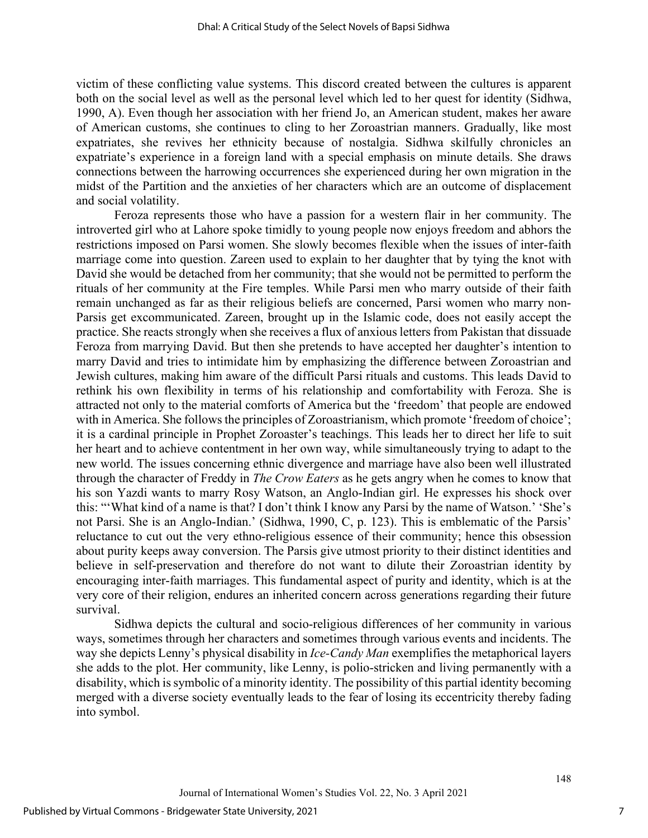victim of these conflicting value systems. This discord created between the cultures is apparent both on the social level as well as the personal level which led to her quest for identity (Sidhwa, 1990, A). Even though her association with her friend Jo, an American student, makes her aware of American customs, she continues to cling to her Zoroastrian manners. Gradually, like most expatriates, she revives her ethnicity because of nostalgia. Sidhwa skilfully chronicles an expatriate's experience in a foreign land with a special emphasis on minute details. She draws connections between the harrowing occurrences she experienced during her own migration in the midst of the Partition and the anxieties of her characters which are an outcome of displacement and social volatility.

Feroza represents those who have a passion for a western flair in her community. The introverted girl who at Lahore spoke timidly to young people now enjoys freedom and abhors the restrictions imposed on Parsi women. She slowly becomes flexible when the issues of inter-faith marriage come into question. Zareen used to explain to her daughter that by tying the knot with David she would be detached from her community; that she would not be permitted to perform the rituals of her community at the Fire temples. While Parsi men who marry outside of their faith remain unchanged as far as their religious beliefs are concerned, Parsi women who marry non-Parsis get excommunicated. Zareen, brought up in the Islamic code, does not easily accept the practice. She reacts strongly when she receives a flux of anxious letters from Pakistan that dissuade Feroza from marrying David. But then she pretends to have accepted her daughter's intention to marry David and tries to intimidate him by emphasizing the difference between Zoroastrian and Jewish cultures, making him aware of the difficult Parsi rituals and customs. This leads David to rethink his own flexibility in terms of his relationship and comfortability with Feroza. She is attracted not only to the material comforts of America but the 'freedom' that people are endowed with in America. She follows the principles of Zoroastrianism, which promote 'freedom of choice'; it is a cardinal principle in Prophet Zoroaster's teachings. This leads her to direct her life to suit her heart and to achieve contentment in her own way, while simultaneously trying to adapt to the new world. The issues concerning ethnic divergence and marriage have also been well illustrated through the character of Freddy in *The Crow Eaters* as he gets angry when he comes to know that his son Yazdi wants to marry Rosy Watson, an Anglo-Indian girl. He expresses his shock over this: "'What kind of a name is that? I don't think I know any Parsi by the name of Watson.' 'She's not Parsi. She is an Anglo-Indian.' (Sidhwa, 1990, C, p. 123). This is emblematic of the Parsis' reluctance to cut out the very ethno-religious essence of their community; hence this obsession about purity keeps away conversion. The Parsis give utmost priority to their distinct identities and believe in self-preservation and therefore do not want to dilute their Zoroastrian identity by encouraging inter-faith marriages. This fundamental aspect of purity and identity, which is at the very core of their religion, endures an inherited concern across generations regarding their future survival.

Sidhwa depicts the cultural and socio-religious differences of her community in various ways, sometimes through her characters and sometimes through various events and incidents. The way she depicts Lenny's physical disability in *Ice-Candy Man* exemplifies the metaphorical layers she adds to the plot. Her community, like Lenny, is polio-stricken and living permanently with a disability, which is symbolic of a minority identity. The possibility of this partial identity becoming merged with a diverse society eventually leads to the fear of losing its eccentricity thereby fading into symbol.

7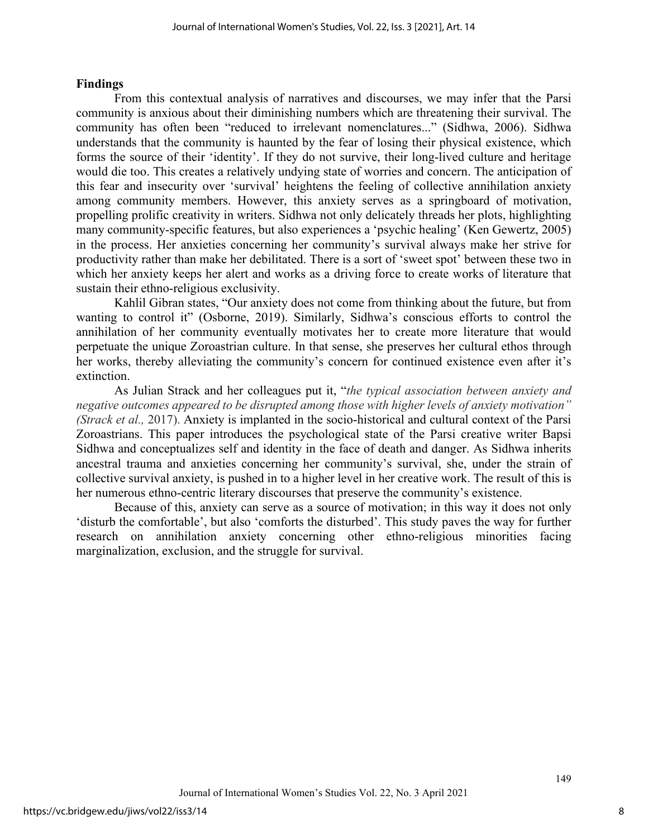#### **Findings**

From this contextual analysis of narratives and discourses, we may infer that the Parsi community is anxious about their diminishing numbers which are threatening their survival. The community has often been "reduced to irrelevant nomenclatures..." (Sidhwa, 2006). Sidhwa understands that the community is haunted by the fear of losing their physical existence, which forms the source of their 'identity'. If they do not survive, their long-lived culture and heritage would die too. This creates a relatively undying state of worries and concern. The anticipation of this fear and insecurity over 'survival' heightens the feeling of collective annihilation anxiety among community members. However, this anxiety serves as a springboard of motivation, propelling prolific creativity in writers. Sidhwa not only delicately threads her plots, highlighting many community-specific features, but also experiences a 'psychic healing' (Ken Gewertz, 2005) in the process. Her anxieties concerning her community's survival always make her strive for productivity rather than make her debilitated. There is a sort of 'sweet spot' between these two in which her anxiety keeps her alert and works as a driving force to create works of literature that sustain their ethno-religious exclusivity.

Kahlil Gibran states, "Our anxiety does not come from thinking about the future, but from wanting to control it" (Osborne, 2019). Similarly, Sidhwa's conscious efforts to control the annihilation of her community eventually motivates her to create more literature that would perpetuate the unique Zoroastrian culture. In that sense, she preserves her cultural ethos through her works, thereby alleviating the community's concern for continued existence even after it's extinction.

As Julian Strack and her colleagues put it, "*the typical association between anxiety and negative outcomes appeared to be disrupted among those with higher levels of anxiety motivation" (Strack et al.,* 2017). Anxiety is implanted in the socio-historical and cultural context of the Parsi Zoroastrians. This paper introduces the psychological state of the Parsi creative writer Bapsi Sidhwa and conceptualizes self and identity in the face of death and danger. As Sidhwa inherits ancestral trauma and anxieties concerning her community's survival, she, under the strain of collective survival anxiety, is pushed in to a higher level in her creative work. The result of this is her numerous ethno-centric literary discourses that preserve the community's existence.

Because of this, anxiety can serve as a source of motivation; in this way it does not only 'disturb the comfortable', but also 'comforts the disturbed'. This study paves the way for further research on annihilation anxiety concerning other ethno-religious minorities facing marginalization, exclusion, and the struggle for survival.